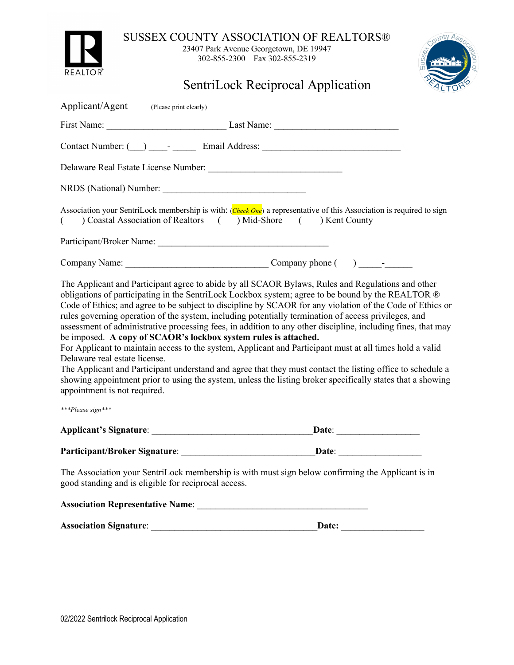

SUSSEX COUNTY ASSOCIATION OF REALTORS®

23407 Park Avenue Georgetown, DE 19947 302-855-2300 Fax 302-855-2319



SentriLock Reciprocal Application

| Applicant/Agent (Please print clearly)                                                                                                                                                                                                                                                                                                                                                                                                                                                                                                                                                                                                                                                                                                                                                                                                                                                                                                                                                                                                        |
|-----------------------------------------------------------------------------------------------------------------------------------------------------------------------------------------------------------------------------------------------------------------------------------------------------------------------------------------------------------------------------------------------------------------------------------------------------------------------------------------------------------------------------------------------------------------------------------------------------------------------------------------------------------------------------------------------------------------------------------------------------------------------------------------------------------------------------------------------------------------------------------------------------------------------------------------------------------------------------------------------------------------------------------------------|
|                                                                                                                                                                                                                                                                                                                                                                                                                                                                                                                                                                                                                                                                                                                                                                                                                                                                                                                                                                                                                                               |
|                                                                                                                                                                                                                                                                                                                                                                                                                                                                                                                                                                                                                                                                                                                                                                                                                                                                                                                                                                                                                                               |
|                                                                                                                                                                                                                                                                                                                                                                                                                                                                                                                                                                                                                                                                                                                                                                                                                                                                                                                                                                                                                                               |
|                                                                                                                                                                                                                                                                                                                                                                                                                                                                                                                                                                                                                                                                                                                                                                                                                                                                                                                                                                                                                                               |
| Association your SentriLock membership is with: (Check One) a representative of this Association is required to sign<br>Coastal Association of Realtors () Mid-Shore () Kent County<br>€                                                                                                                                                                                                                                                                                                                                                                                                                                                                                                                                                                                                                                                                                                                                                                                                                                                      |
|                                                                                                                                                                                                                                                                                                                                                                                                                                                                                                                                                                                                                                                                                                                                                                                                                                                                                                                                                                                                                                               |
|                                                                                                                                                                                                                                                                                                                                                                                                                                                                                                                                                                                                                                                                                                                                                                                                                                                                                                                                                                                                                                               |
| The Applicant and Participant agree to abide by all SCAOR Bylaws, Rules and Regulations and other<br>obligations of participating in the SentriLock Lockbox system; agree to be bound by the REALTOR ®<br>Code of Ethics; and agree to be subject to discipline by SCAOR for any violation of the Code of Ethics or<br>rules governing operation of the system, including potentially termination of access privileges, and<br>assessment of administrative processing fees, in addition to any other discipline, including fines, that may<br>be imposed. A copy of SCAOR's lockbox system rules is attached.<br>For Applicant to maintain access to the system, Applicant and Participant must at all times hold a valid<br>Delaware real estate license.<br>The Applicant and Participant understand and agree that they must contact the listing office to schedule a<br>showing appointment prior to using the system, unless the listing broker specifically states that a showing<br>appointment is not required.<br>***Please sign*** |
| <b>Applicant's Signature:</b><br>Date:                                                                                                                                                                                                                                                                                                                                                                                                                                                                                                                                                                                                                                                                                                                                                                                                                                                                                                                                                                                                        |
| Participant/Broker Signature: Date: Date:                                                                                                                                                                                                                                                                                                                                                                                                                                                                                                                                                                                                                                                                                                                                                                                                                                                                                                                                                                                                     |
| The Association your SentriLock membership is with must sign below confirming the Applicant is in<br>good standing and is eligible for reciprocal access.                                                                                                                                                                                                                                                                                                                                                                                                                                                                                                                                                                                                                                                                                                                                                                                                                                                                                     |
| Association Representative Name: 2008 2010 2020 2021 2022 2023 2024 2022 2023 2024 2022 2023 2024 2022 2023 20                                                                                                                                                                                                                                                                                                                                                                                                                                                                                                                                                                                                                                                                                                                                                                                                                                                                                                                                |
| <b>Association Signature:</b><br>Date:<br><u> 1989 - Johann John Stein, markin fizikar (h. 1982)</u>                                                                                                                                                                                                                                                                                                                                                                                                                                                                                                                                                                                                                                                                                                                                                                                                                                                                                                                                          |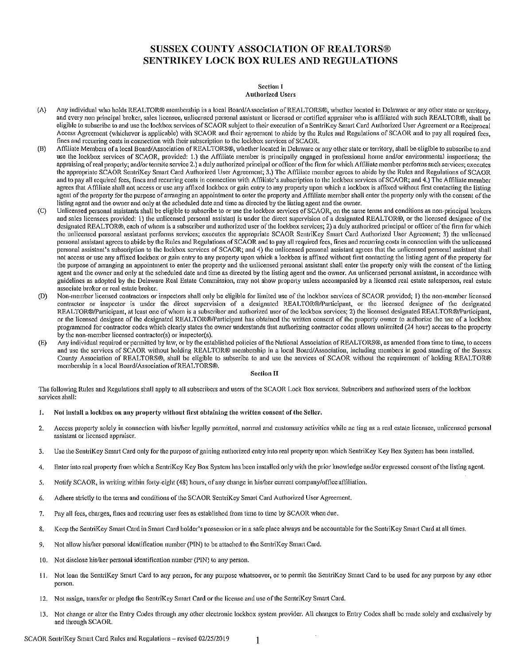# **SUSSEX COUNTY ASSOCIATION OF REALTORS® SENTRIKEY LOCK BOX RULES AND REGULATIONS**

#### **Section I Authorized Users**

- $(A)$ Any individual who holds REALTOR® membership in a local Board/Association of REALTORS®, whether located in Delaware or any other state or territory, and every non principal broker, sales licensee, unlicensed personal assistant or licensed or certified appraiser who is affiliated with such REALTOR®, shall be eligible to subscribe to and use the lockbox services of SCAOR subject to their execution of a SentriKey Smart Card Authorized User Agreement or a Reciprocal Access Agreement (whichever is applicable) with SCAOR and their agreement to abide by the Rules and Regulations of SCAOR and to pay all required fees. fines and recurring costs in connection with their subscription to the lockbox services of SCAOR.
- Affiliate Members of a local Board/Association of REALTORS®, whether located in Delaware or any other state or territory, shall be eligible to subscribe to and (B) use the lockbox services of SCAOR, provided: 1.) the Affiliate member is principally engaged in professional home and/or environmental inspections; the appraising of real property; and/or termite service 2.) a duly authorized principal or officer of the firm for which Affiliate member performs such services; executes the appropriate SCAOR SentriKey Smart Card Authorized User Agreement; 3.) The Affiliate member agrees to abide by the Rules and Regulations of SCAOR and to pay all required fees, fines and recurring costs in connection with Affiliate's subscription to the lockbox services of SCAOR; and 4.) The Affiliate member agrees that Affiliate shall not access or use any affixed lockbox or gain entry to any property upon which a lockbox is affixed without first contacting the listing agent of the property for the purpose of arranging an appointment to enter the property and Affiliate member shall enter the property only with the consent of the listing agent and the owner and only at the scheduled date and time as directed by the listing agent and the owner.
- $\langle C \rangle$ Unlicensed personal assistants shall be eligible to subscribe to or use the lockbox services of SCAOR, on the same terms and conditions as non-principal brokers and sales licensees provided: 1) the unlicensed personal assistant is under the direct supervision of a designated REALTOR®, or the licensed designee of the designated REALTOR®, each of whom is a subscriber and authorized user of the lockbox services; 2) a duly authorized principal or officer of the firm for which the unlicensed personal assistant performs services; executes the appropriate SCAOR SentriKey Smart Card Authorized User Agreement; 3) the unlicensed personal assistant agrees to abide by the Rules and Regulations of SCAOR and to pay all required fees, fines and recurring costs in connection with the unlicensed personal assistant's subscription to the lockbox services of SCAOR; and 4) the unlicensed personal assistant agrees that the unlicensed personal assistant shall not access or use any affixed lockbox or gain entry to any property upon which a lockbox is affixed without first contacting the listing agent of the property for the purpose of arranging an appointment to enter the property and the unlicensed personal assistant shall enter the property only with the consent of the listing agent and the owner and only at the scheduled date and time as directed by the listing agent and the owner. An unlicensed personal assistant, in accordance with guidelines as adopted by the Delaware Real Estate Commission, may not show property unless accompanied by a licensed real estate salesperson, real estate associate broker or real estate broker,
- $(D)$ Non-member licensed contractors or inspectors shall only be eligible for limited use of the lockbox services of SCAOR provided; 1) the non-member licensed contractor or inspector is under the direct supervision of a designated REALTOR®/Participant, or the licensed designee of the designated REALTOR®/Participant, at least one of whom is a subscriber and authorized user of the lockbox services; 2) the licensed designated REALTOR®/Participant, or the licensed designee of the designated REALTOR®/Participant has obtained the written consent of the property owner to authorize the use of a lockbox programmed for contractor codes which clearly states the owner understands that authorizing contractor codes allows unlimited (24 hour) access to the property by the non-member licensed contractor(s) or inspector(s).
- Any individual required or permitted by law, or by the established policies of the National Association of REALTORS®, as amended from time to time, to access  $(E)$ and use the services of SCAOR without holding REALTOR® membership in a local Board/Association, including members in good standing of the Sussex County Association of REALTORS®, shall be eligible to subscribe to and use the services of SCAOR without the requirement of holding REALTOR® membership in a local Board/Association of REALTORS®.

# **Section II**

The following Rules and Regulations shall apply to all subscribers and users of the SCAOR Lock Box services. Subscribers and authorized users of the lockbox services shall:

- ${\bf 1.}$ Not install a lockbox on any property without first obtaining the written consent of the Seller.
- $2.$ Access property solely in connection with his/her legally permitted, normal and customary activities while ac ting as a real estate licensee, unlicensed personal assistant or licensed appraiser.
- Use the SentriKey Smart Card only for the purpose of gaining authorized entry into real property upon which SentriKey Key Box System has been installed.  $\overline{3}$ .
- Enter into real property from which a SentriKey Key Box System has been installed only with the prior knowledge and/or expressed consent of the listing agent. 4.
- Notify SCAOR, in writing within forty-eight (48) hours, of any change in his/her current company/office affiliation. -5.
- Adhere strictly to the terms and conditions of the SCAOR SentriKey Smart Card Authorized User Agreement. 6.
- Pay all fees, charges, fines and recurring user fees as established from time to time by SCAOR when due. 7.
- Keep the SentriKey Smart Card in Smart Card holder's possession or in a safe place always and be accountable for the SentriKey Smart Card at all times. 8.
- $Q$ Not allow his/her personal identification number (PIN) to be attached to the SentriKey Smart Card.
- 10. Not disclose his/her personal identification number (PIN) to any person.
- 11. Not loan the SentriKey Smart Card to any person, for any purpose whatsoever, or to permit the SentriKey Smart Card to be used for any purpose by any other person.
- 12. Not assign, transfer or pledge the SentriKey Smart Card or the license and use of the SentriKey Smart Card.
- 13. Not change or alter the Entry Codes through any other electronic lockbox system provider. All changes to Entry Codes shall be made solely and exclusively by and through SCAOR.

SCAOR SentriKey Smart Card Rules and Regulations - revised 02/25/2019

 $\mathbf{1}$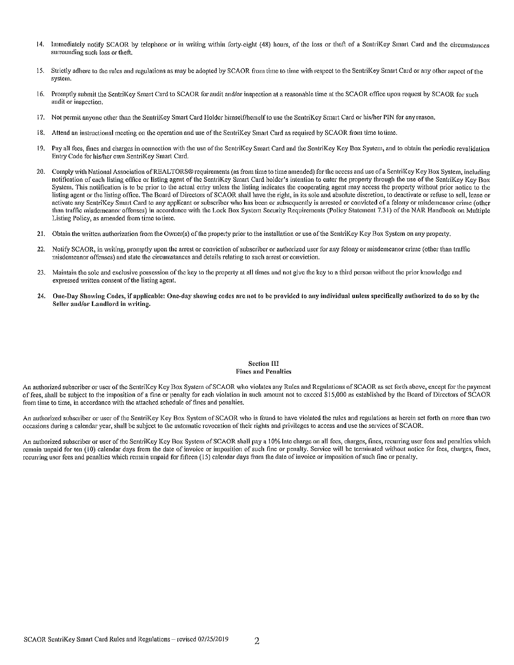- $14.$ Immediately notify SCAOR by telephone or in writing within forty-eight (48) hours, of the loss or theft of a SentriKey Smart Card and the circumstances surrounding such loss or theft.
- 15. Strictly adhere to the rules and regulations as may be adopted by SCAOR from time to time with respect to the SentriKey Smart Card or any other aspect of the system.
- 16. Promptly submit the SentriKey Smart Card to SCAOR for audit and/or inspection at a reasonable time at the SCAOR office upon request by SCAOR for such audit or inspection.
- 17. Not permit anyone other than the SentriKey Smart Card Holder himself/herself to use the SentriKey Smart Card or his/her PIN for any reason.
- 18. Attend an instructional meeting on the operation and use of the SentriKey Smart Card as required by SCAOR from time to time.
- Pay all fees, fines and charges in connection with the use of the SentriKey Smart Card and the SentriKey Key Box System, and to obtain the periodic revalidation 19. Entry Code for his/her own SentriKey Smart Card.
- Comply with National Association of REALTORS® requirements (as from time to time amended) for the access and use of a SentriKey Key Box System, including  $20.$ notification of each listing office or listing agent of the SentriKey Smart Card holder's intention to enter the property through the use of the SentriKey Key Box System. This notification is to be prior to the actual entry unless the listing indicates the coonerating agent may access the property without prior notice to the listing agent or the listing office. The Board of Directors of SCAOR shall have the right, in its sole and absolute discretion, to deactivate or refuse to sell, lease or activate any SentriKey Smart Card to any applicant or subscriber who has been or subsequently is arrested or convicted of a felony or misdemeanor crime (other than traffic misdemeanor offenses) in accordance with the Lock Box System Security Requirements (Policy Statement 7.31) of the NAR Handbook on Multiple Listing Policy, as amended from time to time.
- 21. Obtain the written authorization from the Owner(s) of the property prior to the installation or use of the SentriKey Key Box System on any property.
- Notify SCAOR, in writing, promptly upon the arrest or conviction of subscriber or authorized user for any felony or misdemeanor crime (other than traffic  $22.$ misdemeanor offenses) and state the circumstances and details relating to such arrest or conviction.
- Maintain the sole and exclusive possession of the key to the property at all times and not give the key to a third person without the prior knowledge and 23. expressed written consent of the listing agent.
- $24.$ One-Day Showing Codes, if applicable: One-day showing codes are not to be provided to any individual unless specifically authorized to do so by the Seller and/or Landlord in writing.

### **Section III Fines and Penalties**

An authorized subscriber or user of the SentriKey Key Box System of SCAOR who violates any Rules and Regulations of SCAOR as set forth above, except for the payment of fees, shall be subject to the imposition of a fine or penalty for each violation in such amount not to exceed \$15,000 as established by the Board of Directors of SCAOR from time to time, in accordance with the attached schedule of fines and penalties.

An authorized subscriber or user of the SentriKey Key Box System of SCAOR who is found to have violated the rules and regulations as herein set forth on more than two occasions during a calendar year, shall be subject to the automatic revocation of their rights and privileges to access and use the services of SCAOR.

An authorized subscriber or user of the SentriKey Key Box System of SCAOR shall pay a 10% late charge on all fees, charges, fines, recurring user fees and penalties which remain unpaid for ten (10) calendar days from the date of invoice or imposition of such fine or penalty. Service will be terminated without notice for fees, charges, fines, recurring user fees and penalties which remain unpaid for fifteen (15) calendar days from the date of invoice or imposition of such fine or penalty.